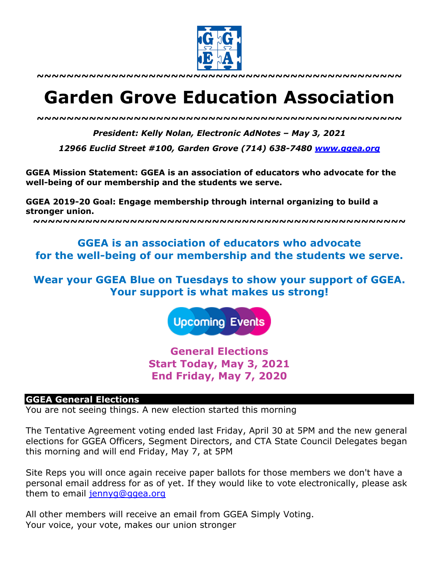

**~~~~~~~~~~~~~~~~~~~~~~~~~~~~~~~~~~~~~~~~~~~~~~~~~**

# **Garden Grove Education Association**

*~~~~~~~~~~~~~~~~~~~~~~~~~~~~~~~~~~~~~~~~~~~~~~~~~*

*President: Kelly Nolan, Electronic AdNotes – May 3, 2021*

*12966 Euclid Street #100, Garden Grove (714) 638-7480 www.ggea.org*

**GGEA Mission Statement: GGEA is an association of educators who advocate for the well-being of our membership and the students we serve.** 

**GGEA 2019-20 Goal: Engage membership through internal organizing to build a stronger union.**

**~~~~~~~~~~~~~~~~~~~~~~~~~~~~~~~~~~~~~~~~~~~~~~~~~~**

# **GGEA is an association of educators who advocate for the well-being of our membership and the students we serve.**

# **Wear your GGEA Blue on Tuesdays to show your support of GGEA. Your support is what makes us strong!**

**Upcoming Events** 

**General Elections Start Today, May 3, 2021 End Friday, May 7, 2020**

#### **GGEA General Elections**

You are not seeing things. A new election started this morning

The Tentative Agreement voting ended last Friday, April 30 at 5PM and the new general elections for GGEA Officers, Segment Directors, and CTA State Council Delegates began this morning and will end Friday, May 7, at 5PM

Site Reps you will once again receive paper ballots for those members we don't have a personal email address for as of yet. If they would like to vote electronically, please ask them to email jennyg@ggea.org

All other members will receive an email from GGEA Simply Voting. Your voice, your vote, makes our union stronger